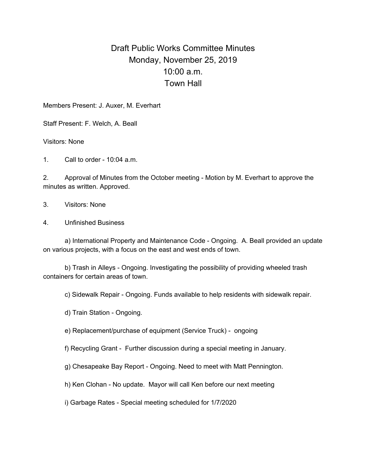## Draft Public Works Committee Minutes Monday, November 25, 2019 10:00 a.m. Town Hall

Members Present: J. Auxer, M. Everhart

Staff Present: F. Welch, A. Beall

Visitors: None

1. Call to order - 10:04 a.m.

2. Approval of Minutes from the October meeting - Motion by M. Everhart to approve the minutes as written. Approved.

3. Visitors: None

4. Unfinished Business

a) International Property and Maintenance Code - Ongoing. A. Beall provided an update on various projects, with a focus on the east and west ends of town.

b) Trash in Alleys - Ongoing. Investigating the possibility of providing wheeled trash containers for certain areas of town.

c) Sidewalk Repair - Ongoing. Funds available to help residents with sidewalk repair.

d) Train Station - Ongoing.

e) Replacement/purchase of equipment (Service Truck) - ongoing

f) Recycling Grant - Further discussion during a special meeting in January.

g) Chesapeake Bay Report - Ongoing. Need to meet with Matt Pennington.

h) Ken Clohan - No update. Mayor will call Ken before our next meeting

i) Garbage Rates - Special meeting scheduled for 1/7/2020